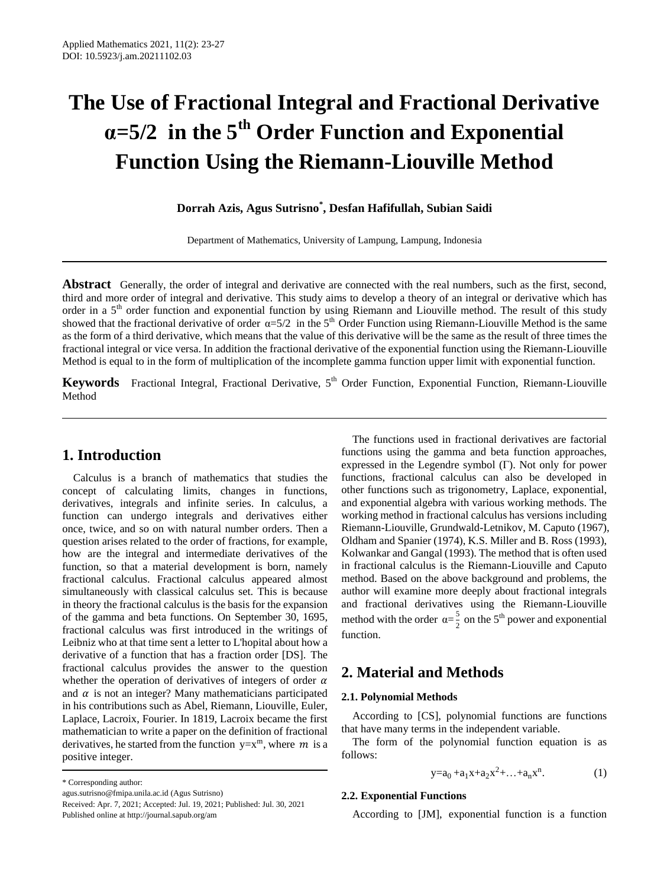# **The Use of Fractional Integral and Fractional Derivative α=5/2 in the 5 th Order Function and Exponential Function Using the Riemann-Liouville Method**

## **Dorrah Azis, Agus Sutrisno\* , Desfan Hafifullah, Subian Saidi**

Department of Mathematics, University of Lampung, Lampung, Indonesia

**Abstract** Generally, the order of integral and derivative are connected with the real numbers, such as the first, second, third and more order of integral and derivative. This study aims to develop a theory of an integral or derivative which has order in a 5<sup>th</sup> order function and exponential function by using Riemann and Liouville method. The result of this study showed that the fractional derivative of order  $\alpha = 5/2$  in the  $5<sup>th</sup>$  Order Function using Riemann-Liouville Method is the same as the form of a third derivative, which means that the value of this derivative will be the same as the result of three times the fractional integral or vice versa. In addition the fractional derivative of the exponential function using the Riemann-Liouville Method is equal to in the form of multiplication of the incomplete gamma function upper limit with exponential function.

**Keywords** Fractional Integral, Fractional Derivative, 5<sup>th</sup> Order Function, Exponential Function, Riemann-Liouville Method

## **1. Introduction**

Calculus is a branch of mathematics that studies the concept of calculating limits, changes in functions, derivatives, integrals and infinite series. In calculus, a function can undergo integrals and derivatives either once, twice, and so on with natural number orders. Then a question arises related to the order of fractions, for example, how are the integral and intermediate derivatives of the function, so that a material development is born, namely fractional calculus. Fractional calculus appeared almost simultaneously with classical calculus set. This is because in theory the fractional calculus is the basis for the expansion of the gamma and beta functions. On September 30, 1695, fractional calculus was first introduced in the writings of Leibniz who at that time sent a letter to L'hopital about how a derivative of a function that has a fraction order [DS]. The fractional calculus provides the answer to the question whether the operation of derivatives of integers of order  $\alpha$ and  $\alpha$  is not an integer? Many mathematicians participated in his contributions such as Abel, Riemann, Liouville, Euler, Laplace, Lacroix, Fourier. In 1819, Lacroix became the first mathematician to write a paper on the definition of fractional derivatives, he started from the function  $y=x^m$ , where m is a positive integer.

\* Corresponding author:

The functions used in fractional derivatives are factorial functions using the gamma and beta function approaches, expressed in the Legendre symbol (Γ). Not only for power functions, fractional calculus can also be developed in other functions such as trigonometry, Laplace, exponential, and exponential algebra with various working methods. The working method in fractional calculus has versions including Riemann-Liouville, Grundwald-Letnikov, M. Caputo (1967), Oldham and Spanier (1974), K.S. Miller and B. Ross (1993), Kolwankar and Gangal (1993). The method that is often used in fractional calculus is the Riemann-Liouville and Caputo method. Based on the above background and problems, the author will examine more deeply about fractional integrals and fractional derivatives using the Riemann-Liouville method with the order  $\alpha = \frac{5}{3}$  $\frac{5}{2}$  on the 5<sup>th</sup> power and exponential function.

## **2. Material and Methods**

## **2.1. Polynomial Methods**

According to [CS], polynomial functions are functions that have many terms in the independent variable.

The form of the polynomial function equation is as follows:

$$
y = a_0 + a_1 x + a_2 x^2 + \dots + a_n x^n. \tag{1}
$$

### **2.2. Exponential Functions**

According to [JM], exponential function is a function

agus.sutrisno@fmipa.unila.ac.id (Agus Sutrisno) Received: Apr. 7, 2021; Accepted: Jul. 19, 2021; Published: Jul. 30, 2021 Published online at http://journal.sapub.org/am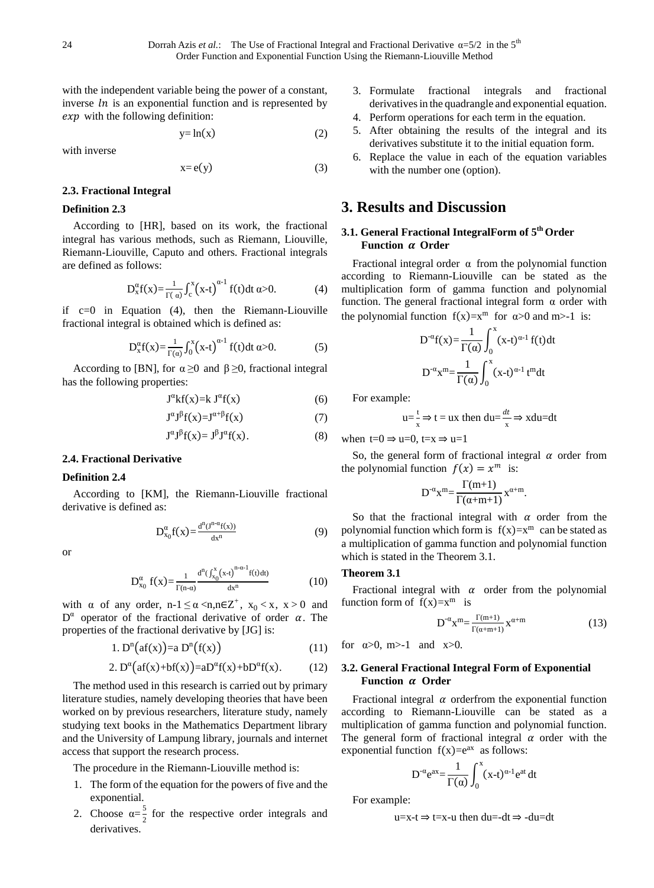with the independent variable being the power of a constant, inverse  $\ln$  is an exponential function and is represented by  $exp$  with the following definition:

$$
y=ln(x) \tag{2}
$$

with inverse

$$
x = e(y) \tag{3}
$$

## **2.3. Fractional Integral**

## **Definition 2.3**

According to [HR], based on its work, the fractional integral has various methods, such as Riemann, Liouville, Riemann-Liouville, Caputo and others. Fractional integrals are defined as follows:

$$
D_x^{\alpha}f(x) = \frac{1}{\Gamma(\alpha)} \int_c^x (x-t)^{\alpha-1} f(t) dt \alpha > 0.
$$
 (4)

if  $c=0$  in Equation (4), then the Riemann-Liouville fractional integral is obtained which is defined as:

$$
D_x^{\alpha}f(x) = \frac{1}{\Gamma(\alpha)} \int_0^x (x-t)^{\alpha-1} f(t) dt \alpha > 0.
$$
 (5)

According to [BN], for  $\alpha \ge 0$  and  $\beta \ge 0$ , fractional integral has the following properties:

$$
J^{\alpha}kf(x)=k J^{\alpha}f(x) \tag{6}
$$

$$
J^{\alpha}J^{\beta}f(x)=J^{\alpha+\beta}f(x) \tag{7}
$$

$$
J^{\alpha}J^{\beta}f(x) = J^{\beta}J^{\alpha}f(x). \tag{8}
$$

## **2.4. Fractional Derivative**

## **Definition 2.4**

According to [KM], the Riemann-Liouville fractional derivative is defined as:

$$
D_{x_0}^{\alpha}f(x) = \frac{d^n J^{n-\alpha}f(x)}{dx^n}
$$
 (9)

or

$$
D_{x_0}^{\alpha} f(x) = \frac{1}{\Gamma(n-\alpha)} \frac{d^n(\int_{x_0}^{x} (x+t)^{n-\alpha-1} f(t) dt)}{dx^n}
$$
(10)

with  $\alpha$  of any order, n-1  $\leq \alpha < n, n \in \mathbb{Z}^+$ ,  $x_0 < x$ ,  $x > 0$  and  $D^{\alpha}$  operator of the fractional derivative of order  $\alpha$ . The properties of the fractional derivative by [JG] is:

$$
1. Dn(af(x)) = a Dn(f(x))
$$
\n(11)

$$
2. D^{\alpha}(\text{af}(x)+\text{bf}(x)) = aD^{\alpha}f(x)+bD^{\alpha}f(x). \tag{12}
$$

The method used in this research is carried out by primary literature studies, namely developing theories that have been worked on by previous researchers, literature study, namely studying text books in the Mathematics Department library and the University of Lampung library, journals and internet access that support the research process.

The procedure in the Riemann-Liouville method is:

- 1. The form of the equation for the powers of five and the exponential.
- 2. Choose  $\alpha = \frac{5}{3}$  $\frac{3}{2}$  for the respective order integrals and derivatives.
- 3. Formulate fractional integrals and fractional derivatives in the quadrangle and exponential equation.
- 4. Perform operations for each term in the equation.
- 5. After obtaining the results of the integral and its derivatives substitute it to the initial equation form.
- 6. Replace the value in each of the equation variables with the number one (option).

## **3. Results and Discussion**

## **3.1. General Fractional IntegralForm of 5 th Order Function**  $\alpha$  Order

Fractional integral order  $\alpha$  from the polynomial function according to Riemann-Liouville can be stated as the multiplication form of gamma function and polynomial function. The general fractional integral form  $\alpha$  order with the polynomial function  $f(x)=x^m$  for  $\alpha>0$  and m>-1 is:

$$
D^{\alpha}f(x) = \frac{1}{\Gamma(\alpha)} \int_0^x (x-t)^{\alpha-1} f(t) dt
$$

$$
D^{\alpha}x^m = \frac{1}{\Gamma(\alpha)} \int_0^x (x-t)^{\alpha-1} t^m dt
$$

For example:

$$
u = \frac{t}{x} \Rightarrow t = ux
$$
 then  $du = \frac{dt}{x} \Rightarrow xdu = dt$ 

when  $t=0 \Rightarrow u=0, t=x \Rightarrow u=1$ 

So, the general form of fractional integral  $\alpha$  order from the polynomial function  $f(x) = x^m$  is:

$$
D^{\text{-}\alpha}x^m{=}\frac{\Gamma(m{+}1)}{\Gamma(\alpha{+}m{+}1)}x^{\alpha{+}m}.
$$

So that the fractional integral with  $\alpha$  order from the polynomial function which form is  $f(x)=x^m$  can be stated as a multiplication of gamma function and polynomial function which is stated in the Theorem 3.1.

## **Theorem 3.1**

Fractional integral with  $\alpha$  order from the polynomial function form of  $f(x)=x^m$  is

$$
D^{-\alpha}x^m = \frac{\Gamma(m+1)}{\Gamma(\alpha+m+1)}x^{\alpha+m} \tag{13}
$$

for  $\alpha > 0$ , m > -1 and x > 0.

## **3.2. General Fractional Integral Form of Exponential Function**  $\alpha$  Order

Fractional integral  $\alpha$  orderfrom the exponential function according to Riemann-Liouville can be stated as a multiplication of gamma function and polynomial function. The general form of fractional integral  $\alpha$  order with the exponential function  $f(x)=e^{ax}$  as follows:

$$
D^{-\alpha}e^{ax} = \frac{1}{\Gamma(\alpha)} \int_0^x (x-t)^{\alpha-1}e^{at} dt
$$

For example:

$$
u=x-t \Rightarrow t=x-u
$$
 then  $du=-dt \Rightarrow -du=dt$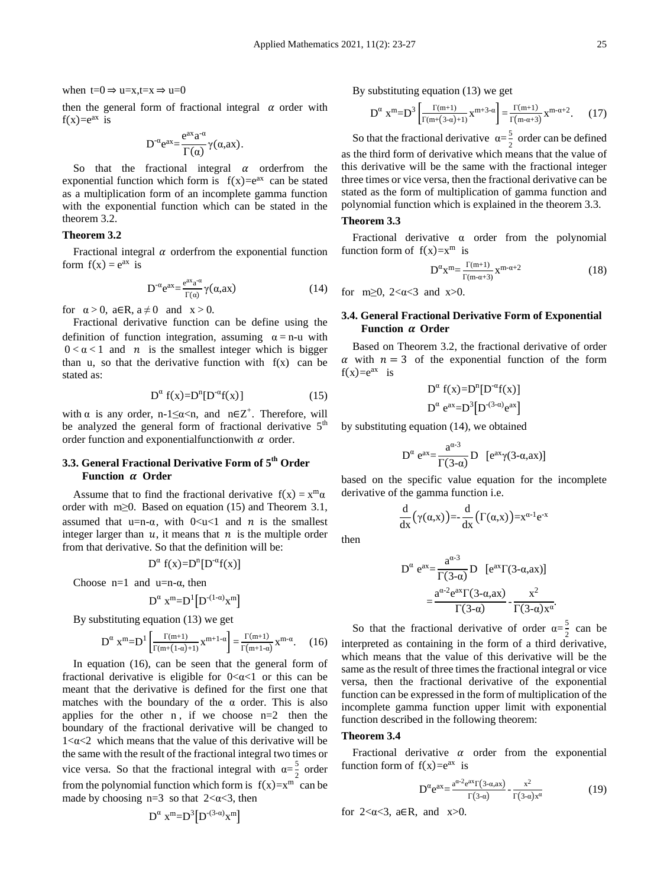when  $t=0 \Rightarrow u=x, t=x \Rightarrow u=0$ 

then the general form of fractional integral  $\alpha$  order with  $f(x)=e^{ax}$  is

$$
D^{-\alpha}e^{ax} = \frac{e^{ax}a^{-\alpha}}{\Gamma(\alpha)}\gamma(\alpha,ax).
$$

So that the fractional integral  $\alpha$  orderfrom the exponential function which form is  $f(x)=e^{ax}$  can be stated as a multiplication form of an incomplete gamma function with the exponential function which can be stated in the theorem 3.2.

## **Theorem 3.2**

Fractional integral  $\alpha$  orderfrom the exponential function form  $f(x) = e^{ax}$  is

$$
D^{-\alpha} e^{ax} = \frac{e^{ax} a^{-\alpha}}{\Gamma(\alpha)} \gamma(\alpha, ax)
$$
 (14)

for  $\alpha > 0$ ,  $a \in \mathbb{R}$ ,  $a \neq 0$  and  $x > 0$ .

Fractional derivative function can be define using the definition of function integration, assuming  $\alpha = n-u$  with  $0 < \alpha < 1$  and *n* is the smallest integer which is bigger than u, so that the derivative function with  $f(x)$  can be stated as:

$$
D^{\alpha} f(x)=D^{n}[D^{-\alpha} f(x)] \qquad (15)
$$

with  $\alpha$  is any order, n-1≤α <n, and n∈Z<sup>+</sup>. Therefore, will be analyzed the general form of fractional derivative  $5<sup>th</sup>$ order function and exponential function with  $\alpha$  order.

## **3.3. General Fractional Derivative Form of 5 th Order Function Order**

Assume that to find the fractional derivative  $f(x) = x^m \alpha$ order with m≥0. Based on equation (15) and Theorem 3.1, assumed that u=n- $\alpha$ , with  $0 < u < 1$  and  $n$  is the smallest integer larger than  $u$ , it means that  $n$  is the multiple order from that derivative. So that the definition will be:

$$
D^{\alpha} f(x)=D^{n}[D^{-\alpha}f(x)]
$$

Choose  $n=1$  and  $u=n-\alpha$ , then

$$
D^{\alpha} x^m = D^1[D^{-(1-\alpha)}x^m]
$$

By substituting equation (13) we get

$$
D^{\alpha} \ x^m = D^1 \left[ \frac{\Gamma(m+1)}{\Gamma(m+(1-\alpha)+1)} x^{m+1-\alpha} \right] = \frac{\Gamma(m+1)}{\Gamma(m+1-\alpha)} x^{m-\alpha}.
$$
 (16)

In equation (16), can be seen that the general form of fractional derivative is eligible for  $0 < \alpha < 1$  or this can be meant that the derivative is defined for the first one that matches with the boundary of the  $\alpha$  order. This is also applies for the other  $n$ , if we choose  $n=2$  then the boundary of the fractional derivative will be changed to  $1 < \alpha < 2$  which means that the value of this derivative will be the same with the result of the fractional integral two times or vice versa. So that the fractional integral with  $\alpha = \frac{5}{3}$  $\frac{3}{2}$  order from the polynomial function which form is  $f(x)=x^m$  can be made by choosing  $n=3$  so that  $2 < \alpha < 3$ , then

$$
D^\alpha\ x^m\!\!=\!\!D^3\!\!\left[D^{(3\text{-}\alpha)}\!x^m\right]
$$

By substituting equation (13) we get

$$
D^{\alpha} x^{m} = D^{3} \left[ \frac{\Gamma(m+1)}{\Gamma(m + (3-\alpha) + 1)} x^{m+3-\alpha} \right] = \frac{\Gamma(m+1)}{\Gamma(m-\alpha+3)} x^{m-\alpha+2}.
$$
 (17)

So that the fractional derivative  $\alpha = \frac{5}{3}$  $\frac{3}{2}$  order can be defined as the third form of derivative which means that the value of this derivative will be the same with the fractional integer three times or vice versa, then the fractional derivative can be stated as the form of multiplication of gamma function and polynomial function which is explained in the theorem 3.3.

#### **Theorem 3.3**

Fractional derivative α order from the polynomial function form of  $f(x)=x^m$  is

$$
D^{\alpha}x^{m} = \frac{\Gamma(m+1)}{\Gamma(m-\alpha+3)}x^{m-\alpha+2}
$$
 (18)

for m $\geq 0$ , 2< $\alpha$ <3 and x $>0$ .

## **3.4. General Fractional Derivative Form of Exponential Function**  $\alpha$  **Order**

Based on Theorem 3.2, the fractional derivative of order  $\alpha$  with  $n = 3$  of the exponential function of the form  $f(x)=e^{ax}$  is

$$
D^{\alpha} f(x)=D^{n}[D^{\alpha}f(x)]
$$

$$
D^{\alpha} e^{ax}=D^{3}[D^{(3-\alpha)}e^{ax}]
$$

by substituting equation (14), we obtained

$$
D^{\alpha} e^{ax} = \frac{a^{\alpha \cdot 3}}{\Gamma(3-\alpha)} D \quad [e^{ax} \gamma(3-\alpha,ax)]
$$

based on the specific value equation for the incomplete derivative of the gamma function i.e.

$$
\frac{d}{dx}(\gamma(\alpha,x)) = -\frac{d}{dx}(\Gamma(\alpha,x)) = x^{\alpha-1}e^{-x}
$$

then

$$
D^{\alpha} e^{ax} = \frac{a^{\alpha \cdot 3}}{\Gamma(3-\alpha)} D \left[ e^{ax} \Gamma(3-\alpha,ax) \right]
$$

$$
= \frac{a^{\alpha \cdot 2} e^{ax} \Gamma(3-\alpha,ax)}{\Gamma(3-\alpha)} - \frac{x^2}{\Gamma(3-\alpha)x^{\alpha}}.
$$

So that the fractional derivative of order  $\alpha = \frac{5}{3}$  $\frac{3}{2}$  can be interpreted as containing in the form of a third derivative, which means that the value of this derivative will be the same as the result of three times the fractional integral or vice versa, then the fractional derivative of the exponential function can be expressed in the form of multiplication of the incomplete gamma function upper limit with exponential function described in the following theorem:

#### **Theorem 3.4**

Fractional derivative  $\alpha$  order from the exponential function form of  $f(x)=e^{ax}$  is

$$
D^{\alpha} e^{ax} = \frac{a^{\alpha-2} e^{ax} \Gamma(3-\alpha,ax)}{\Gamma(3-\alpha)} - \frac{x^2}{\Gamma(3-\alpha)x^{\alpha}}
$$
(19)

for  $2 < \alpha < 3$ ,  $a \in \mathbb{R}$ , and  $x > 0$ .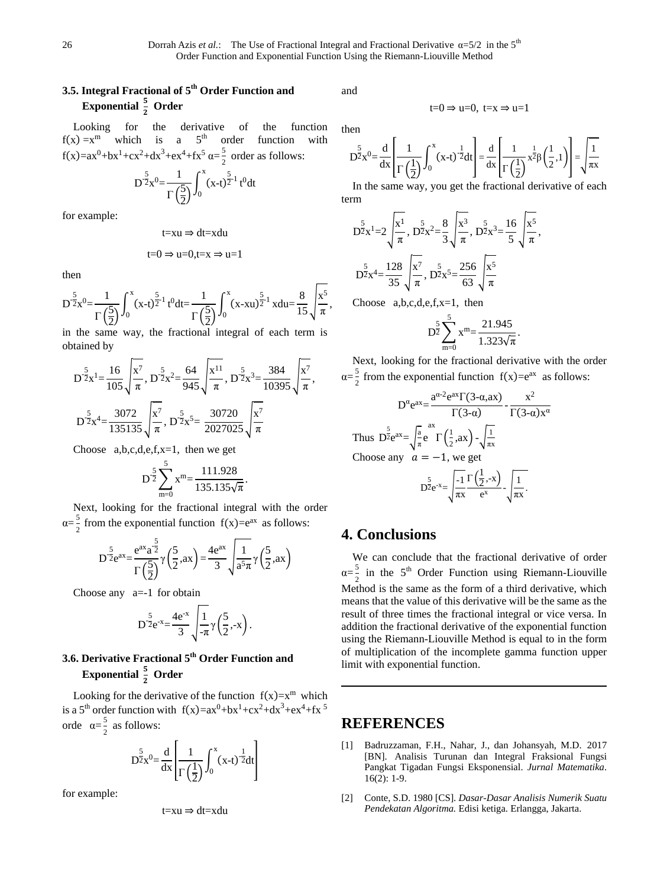# **3.5. Integral Fractional of 5 th Order Function and Exponential**  $\frac{5}{2}$  Order

Looking for the derivative of the function  $f(x) = x^m$  which is a 5<sup>th</sup> order function with  $f(x)=ax^0+bx^1+cx^2+dx^3+ex^4+fx^5 \alpha = \frac{5}{2}$  $\frac{5}{2}$  order as follows:

$$
D^{\frac{5}{2}}x^{0} = \frac{1}{\Gamma(\frac{5}{2})} \int_{0}^{x} (x-t)^{\frac{5}{2}-1} t^{0} dt
$$

for example:

$$
t=xu \Rightarrow dt=xdu
$$

$$
t=0 \Rightarrow u=0, t=x \Rightarrow u=1
$$

then

$$
D^{\frac{5}{2}}x^{0} = \frac{1}{\Gamma(\frac{5}{2})}\int_{0}^{x} (x-t)^{\frac{5}{2}-1} t^{0} dt = \frac{1}{\Gamma(\frac{5}{2})}\int_{0}^{x} (x-xu)^{\frac{5}{2}-1} x du = \frac{8}{15}\sqrt{\frac{x^{5}}{\pi}},
$$

in the same way, the fractional integral of each term is obtained by

$$
D^{\frac{5}{2}}x^{1} = \frac{16}{105} \sqrt{\frac{x^{7}}{\pi}}, D^{\frac{5}{2}}x^{2} = \frac{64}{945} \sqrt{\frac{x^{11}}{\pi}}, D^{\frac{5}{2}}x^{3} = \frac{384}{10395} \sqrt{\frac{x^{7}}{\pi}},
$$
  

$$
D^{\frac{5}{2}}x^{4} = \frac{3072}{135135} \sqrt{\frac{x^{7}}{\pi}}, D^{\frac{5}{2}}x^{5} = \frac{30720}{2027025} \sqrt{\frac{x^{7}}{\pi}}
$$

Choose  $a,b,c,d,e,f,x=1$ , then we get

$$
D^{\frac{5}{2}}\sum_{m=0}^{5} x^{m} = \frac{111.928}{135.135\sqrt{\pi}}.
$$

Next, looking for the fractional integral with the order  $\alpha = \frac{5}{2}$  $\frac{5}{2}$  from the exponential function  $f(x)=e^{ax}$  as follows:

$$
D^{\frac{5}{2}}e^{ax} = \frac{e^{ax}a^{\frac{5}{2}}}{\Gamma(\frac{5}{2})}\gamma(\frac{5}{2},ax) = \frac{4e^{ax}}{3}\sqrt{\frac{1}{a^5\pi}}\gamma(\frac{5}{2},ax)
$$

Choose any  $a=-1$  for obtain

$$
D^{\frac{5}{2}}e^{-x} = \frac{4e^{-x}}{3} \sqrt{\frac{1}{-\pi}} \gamma \left(\frac{5}{2}, -x\right).
$$

# **3.6. Derivative Fractional 5 th Order Function and Exponential**  $\frac{5}{2}$  Order

Looking for the derivative of the function  $f(x)=x^m$  which is a 5<sup>th</sup> order function with  $f(x)=ax^0+bx^1+cx^2+dx^3+ex^4+fx^5$ orde  $\alpha = \frac{5}{3}$  $\frac{3}{2}$  as follows:

$$
D^{\frac{5}{2}}x^{0} = \frac{d}{dx} \left[ \frac{1}{\Gamma(\frac{1}{2})} \int_{0}^{x} (x-t)^{\frac{1}{2}} dt \right]
$$

for example:

$$
t{=}xu \Rightarrow dt{=}xdu
$$

and

$$
t=0 \Rightarrow u=0, t=x \Rightarrow u=1
$$

then

$$
D^{\frac{5}{2}}x^{0} = \frac{d}{dx} \left[ \frac{1}{\Gamma\left(\frac{1}{2}\right)} \int_{0}^{x} (x-t)^{-\frac{1}{2}} dt \right] = \frac{d}{dx} \left[ \frac{1}{\Gamma\left(\frac{1}{2}\right)} x^{\frac{1}{2}} \beta\left(\frac{1}{2}, 1\right) \right] = \sqrt{\frac{1}{\pi x}}
$$

In the same way, you get the fractional derivative of each term

$$
D^{\frac{5}{2}}x^{1} = 2\sqrt{\frac{x^{1}}{\pi}}, D^{\frac{5}{2}}x^{2} = \frac{8}{3}\sqrt{\frac{x^{3}}{\pi}}, D^{\frac{5}{2}}x^{3} = \frac{16}{5}\sqrt{\frac{x^{5}}{\pi}},
$$
  

$$
D^{\frac{5}{2}}x^{4} = \frac{128}{35}\sqrt{\frac{x^{7}}{\pi}}, D^{\frac{5}{2}}x^{5} = \frac{256}{63}\sqrt{\frac{x^{5}}{\pi}}
$$

Choose a,b,c,d,e,f,x=1, then

$$
D^{\frac{5}{2}} \sum_{m=0}^{5} x^{m} = \frac{21.945}{1.323\sqrt{\pi}}.
$$

Next, looking for the fractional derivative with the order  $\alpha = \frac{5}{2}$  $\frac{5}{2}$  from the exponential function  $f(x)=e^{ax}$  as follows:

$$
D^{\alpha} e^{ax} = \frac{a^{\alpha - 2} e^{ax} \Gamma(3 - \alpha, ax)}{\Gamma(3 - \alpha)} - \frac{x^2}{\Gamma(3 - \alpha)x^{\alpha}}
$$
  
\nThus  $D^{\frac{5}{2}} e^{ax} = \sqrt{\frac{a}{\pi}} e^{-\Gamma(\frac{1}{2}, ax)} - \sqrt{\frac{1}{\pi x}}$   
\nChoose any  $a = -1$ , we get  
\n
$$
D^{\frac{5}{2}} e^{-x} = \sqrt{\frac{-1}{\pi x} \Gamma(\frac{1}{2}, -x)} - \sqrt{\frac{1}{\pi x}}.
$$

## **4. Conclusions**

We can conclude that the fractional derivative of order  $\alpha = \frac{5}{2}$  $\frac{5}{2}$  in the 5<sup>th</sup> Order Function using Riemann-Liouville Method is the same as the form of a third derivative, which means that the value of this derivative will be the same as the result of three times the fractional integral or vice versa. In addition the fractional derivative of the exponential function using the Riemann-Liouville Method is equal to in the form of multiplication of the incomplete gamma function upper limit with exponential function.

## **REFERENCES**

- [1] Badruzzaman, F.H., Nahar, J., dan Johansyah, M.D. 2017 [BN]. Analisis Turunan dan Integral Fraksional Fungsi Pangkat Tigadan Fungsi Eksponensial. *Jurnal Matematika*. 16(2): 1-9.
- [2] Conte, S.D. 1980 [CS]. *Dasar-Dasar Analisis Numerik Suatu Pendekatan Algoritma.* Edisi ketiga. Erlangga, Jakarta.